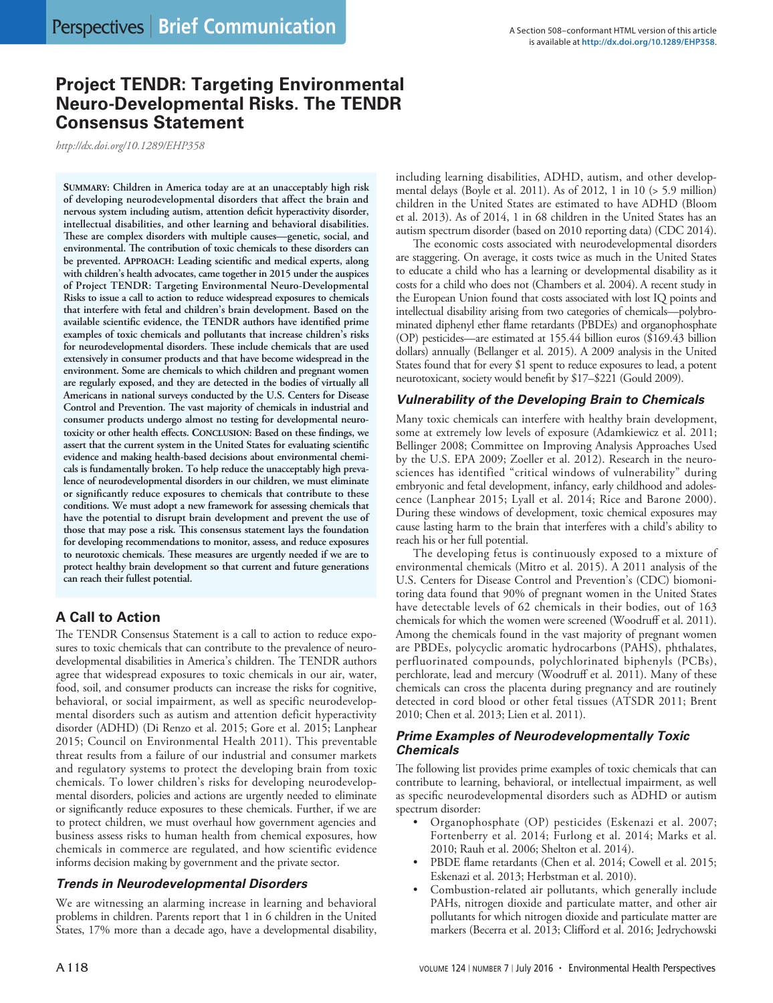# **Project TENDR: Targeting Environmental Neuro-Developmental Risks. The TENDR Consensus Statement**

*http://dx.doi.org/10.1289/EHP358*

**Summary: Children in America today are at an unacceptably high risk of developing neurodevelopmental disorders that affect the brain and nervous system including autism, attention deficit hyperactivity disorder, intellectual disabilities, and other learning and behavioral disabilities. These are complex disorders with multiple causes—genetic, social, and environmental. The contribution of toxic chemicals to these disorders can be prevented. Approach: Leading scientific and medical experts, along with children's health advocates, came together in 2015 under the auspices of Project TENDR: Targeting Environmental Neuro-Developmental Risks to issue a call to action to reduce widespread exposures to chemicals that interfere with fetal and children's brain development. Based on the available scientific evidence, the TENDR authors have identified prime examples of toxic chemicals and pollutants that increase children's risks for neurodevelopmental disorders. These include chemicals that are used extensively in consumer products and that have become widespread in the environment. Some are chemicals to which children and pregnant women are regularly exposed, and they are detected in the bodies of virtually all Americans in national surveys conducted by the U.S. Centers for Disease Control and Prevention. The vast majority of chemicals in industrial and consumer products undergo almost no testing for developmental neurotoxicity or other health effects. Conclusion: Based on these findings, we assert that the current system in the United States for evaluating scientific evidence and making health-based decisions about environmental chemicals is fundamentally broken. To help reduce the unacceptably high prevalence of neurodevelopmental disorders in our children, we must eliminate or significantly reduce exposures to chemicals that contribute to these conditions. We must adopt a new framework for assessing chemicals that have the potential to disrupt brain development and prevent the use of those that may pose a risk. This consensus statement lays the foundation for developing recommendations to monitor, assess, and reduce exposures to neurotoxic chemicals. These measures are urgently needed if we are to protect healthy brain development so that current and future generations can reach their fullest potential.**

# **A Call to Action**

The TENDR Consensus Statement is a call to action to reduce exposures to toxic chemicals that can contribute to the prevalence of neurodevelopmental disabilities in America's children. The TENDR authors agree that widespread exposures to toxic chemicals in our air, water, food, soil, and consumer products can increase the risks for cognitive, behavioral, or social impairment, as well as specific neurodevelopmental disorders such as autism and attention deficit hyperactivity disorder (ADHD) (Di Renzo et al. 2015; Gore et al. 2015; Lanphear 2015; Council on Environmental Health 2011). This preventable threat results from a failure of our industrial and consumer markets and regulatory systems to protect the developing brain from toxic chemicals. To lower children's risks for developing neurodevelopmental disorders, policies and actions are urgently needed to eliminate or significantly reduce exposures to these chemicals. Further, if we are to protect children, we must overhaul how government agencies and business assess risks to human health from chemical exposures, how chemicals in commerce are regulated, and how scientific evidence informs decision making by government and the private sector.

# *Trends in Neurodevelopmental Disorders*

We are witnessing an alarming increase in learning and behavioral problems in children. Parents report that 1 in 6 children in the United States, 17% more than a decade ago, have a developmental disability,

including learning disabilities, ADHD, autism, and other developmental delays (Boyle et al. 2011). As of 2012, 1 in 10 (> 5.9 million) children in the United States are estimated to have ADHD (Bloom et al. 2013). As of 2014, 1 in 68 children in the United States has an autism spectrum disorder (based on 2010 reporting data) (CDC 2014).

The economic costs associated with neurodevelopmental disorders are staggering. On average, it costs twice as much in the United States to educate a child who has a learning or developmental disability as it costs for a child who does not (Chambers et al. 2004). A recent study in the European Union found that costs associated with lost IQ points and intellectual disability arising from two categories of chemicals—polybrominated diphenyl ether flame retardants (PBDEs) and organophosphate (OP) pesticides—are estimated at 155.44 billion euros (\$169.43 billion dollars) annually (Bellanger et al. 2015). A 2009 analysis in the United States found that for every \$1 spent to reduce exposures to lead, a potent neurotoxicant, society would benefit by \$17–\$221 (Gould 2009).

# *Vulnerability of the Developing Brain to Chemicals*

Many toxic chemicals can interfere with healthy brain development, some at extremely low levels of exposure (Adamkiewicz et al. 2011; Bellinger 2008; Committee on Improving Analysis Approaches Used by the U.S. EPA 2009; Zoeller et al. 2012). Research in the neurosciences has identified "critical windows of vulnerability" during embryonic and fetal development, infancy, early childhood and adolescence (Lanphear 2015; Lyall et al. 2014; Rice and Barone 2000). During these windows of development, toxic chemical exposures may cause lasting harm to the brain that interferes with a child's ability to reach his or her full potential.

The developing fetus is continuously exposed to a mixture of environmental chemicals (Mitro et al. 2015). A 2011 analysis of the U.S. Centers for Disease Control and Prevention's (CDC) biomonitoring data found that 90% of pregnant women in the United States have detectable levels of 62 chemicals in their bodies, out of 163 chemicals for which the women were screened (Woodruff et al. 2011). Among the chemicals found in the vast majority of pregnant women are PBDEs, polycyclic aromatic hydrocarbons (PAHS), phthalates, perfluorinated compounds, polychlorinated biphenyls (PCBs), perchlorate, lead and mercury (Woodruff et al. 2011). Many of these chemicals can cross the placenta during pregnancy and are routinely detected in cord blood or other fetal tissues (ATSDR 2011; Brent 2010; Chen et al. 2013; Lien et al. 2011).

# *Prime Examples of Neurodevelopmentally Toxic Chemicals*

The following list provides prime examples of toxic chemicals that can contribute to learning, behavioral, or intellectual impairment, as well as specific neurodevelopmental disorders such as ADHD or autism spectrum disorder:

- Organophosphate (OP) pesticides (Eskenazi et al. 2007; Fortenberry et al. 2014; Furlong et al. 2014; Marks et al. 2010; Rauh et al. 2006; Shelton et al. 2014).
- PBDE flame retardants (Chen et al. 2014; Cowell et al. 2015; Eskenazi et al. 2013; Herbstman et al. 2010).
- Combustion-related air pollutants, which generally include PAHs, nitrogen dioxide and particulate matter, and other air pollutants for which nitrogen dioxide and particulate matter are markers (Becerra et al. 2013; Clifford et al. 2016; Jedrychowski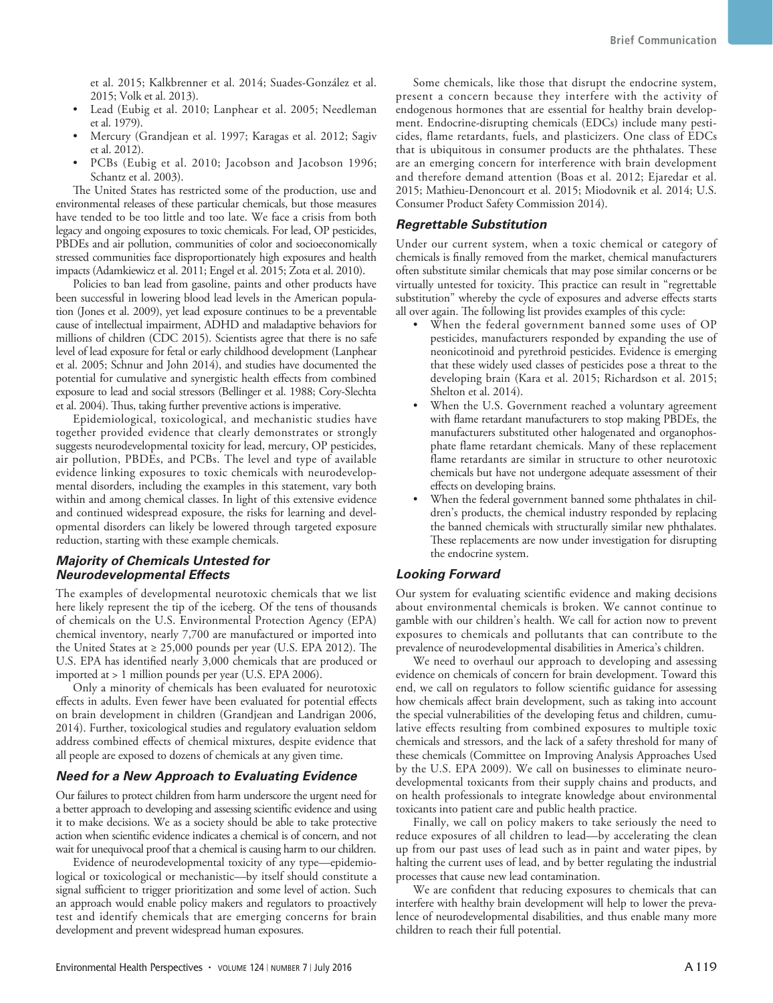et al. 2015; Kalkbrenner et al. 2014; Suades-González et al. 2015; Volk et al. 2013).

- Lead (Eubig et al. 2010; Lanphear et al. 2005; Needleman et al. 1979).
- Mercury (Grandjean et al. 1997; Karagas et al. 2012; Sagiv et al. 2012).
- PCBs (Eubig et al. 2010; Jacobson and Jacobson 1996; Schantz et al. 2003).

The United States has restricted some of the production, use and environmental releases of these particular chemicals, but those measures have tended to be too little and too late. We face a crisis from both legacy and ongoing exposures to toxic chemicals. For lead, OP pesticides, PBDEs and air pollution, communities of color and socioeconomically stressed communities face disproportionately high exposures and health impacts (Adamkiewicz et al. 2011; Engel et al. 2015; Zota et al. 2010).

Policies to ban lead from gasoline, paints and other products have been successful in lowering blood lead levels in the American population (Jones et al. 2009), yet lead exposure continues to be a preventable cause of intellectual impairment, ADHD and maladaptive behaviors for millions of children (CDC 2015). Scientists agree that there is no safe level of lead exposure for fetal or early childhood development (Lanphear et al. 2005; Schnur and John 2014), and studies have documented the potential for cumulative and synergistic health effects from combined exposure to lead and social stressors (Bellinger et al. 1988; Cory-Slechta et al. 2004). Thus, taking further preventive actions is imperative.

Epidemiological, toxicological, and mechanistic studies have together provided evidence that clearly demonstrates or strongly suggests neurodevelopmental toxicity for lead, mercury, OP pesticides, air pollution, PBDEs, and PCBs. The level and type of available evidence linking exposures to toxic chemicals with neurodevelopmental disorders, including the examples in this statement, vary both within and among chemical classes. In light of this extensive evidence and continued widespread exposure, the risks for learning and developmental disorders can likely be lowered through targeted exposure reduction, starting with these example chemicals.

# *Majority of Chemicals Untested for Neurodevelopmental Effects*

The examples of developmental neurotoxic chemicals that we list here likely represent the tip of the iceberg. Of the tens of thousands of chemicals on the U.S. Environmental Protection Agency (EPA) chemical inventory, nearly 7,700 are manufactured or imported into the United States at  $\geq 25,000$  pounds per year (U.S. EPA 2012). The U.S. EPA has identified nearly 3,000 chemicals that are produced or imported at > 1 million pounds per year (U.S. EPA 2006).

Only a minority of chemicals has been evaluated for neurotoxic effects in adults. Even fewer have been evaluated for potential effects on brain development in children (Grandjean and Landrigan 2006, 2014). Further, toxicological studies and regulatory evaluation seldom address combined effects of chemical mixtures, despite evidence that all people are exposed to dozens of chemicals at any given time.

# *Need for a New Approach to Evaluating Evidence*

Our failures to protect children from harm underscore the urgent need for a better approach to developing and assessing scientific evidence and using it to make decisions. We as a society should be able to take protective action when scientific evidence indicates a chemical is of concern, and not wait for unequivocal proof that a chemical is causing harm to our children.

Evidence of neurodevelopmental toxicity of any type—epidemiological or toxicological or mechanistic—by itself should constitute a signal sufficient to trigger prioritization and some level of action. Such an approach would enable policy makers and regulators to proactively test and identify chemicals that are emerging concerns for brain development and prevent widespread human exposures.

Some chemicals, like those that disrupt the endocrine system, present a concern because they interfere with the activity of endogenous hormones that are essential for healthy brain development. Endocrine-disrupting chemicals (EDCs) include many pesticides, flame retardants, fuels, and plasticizers. One class of EDCs that is ubiquitous in consumer products are the phthalates. These are an emerging concern for interference with brain development and therefore demand attention (Boas et al. 2012; Ejaredar et al. 2015; Mathieu-Denoncourt et al. 2015; Miodovnik et al. 2014; U.S. Consumer Product Safety Commission 2014).

## *Regrettable Substitution*

Under our current system, when a toxic chemical or category of chemicals is finally removed from the market, chemical manufacturers often substitute similar chemicals that may pose similar concerns or be virtually untested for toxicity. This practice can result in "regrettable substitution" whereby the cycle of exposures and adverse effects starts all over again. The following list provides examples of this cycle:

- When the federal government banned some uses of OP pesticides, manufacturers responded by expanding the use of neonicotinoid and pyrethroid pesticides. Evidence is emerging that these widely used classes of pesticides pose a threat to the developing brain (Kara et al. 2015; Richardson et al. 2015; Shelton et al. 2014).
- When the U.S. Government reached a voluntary agreement with flame retardant manufacturers to stop making PBDEs, the manufacturers substituted other halogenated and organophosphate flame retardant chemicals. Many of these replacement flame retardants are similar in structure to other neurotoxic chemicals but have not undergone adequate assessment of their effects on developing brains.
- When the federal government banned some phthalates in children's products, the chemical industry responded by replacing the banned chemicals with structurally similar new phthalates. These replacements are now under investigation for disrupting the endocrine system.

## *Looking Forward*

Our system for evaluating scientific evidence and making decisions about environmental chemicals is broken. We cannot continue to gamble with our children's health. We call for action now to prevent exposures to chemicals and pollutants that can contribute to the prevalence of neurodevelopmental disabilities in America's children.

We need to overhaul our approach to developing and assessing evidence on chemicals of concern for brain development. Toward this end, we call on regulators to follow scientific guidance for assessing how chemicals affect brain development, such as taking into account the special vulnerabilities of the developing fetus and children, cumulative effects resulting from combined exposures to multiple toxic chemicals and stressors, and the lack of a safety threshold for many of these chemicals (Committee on Improving Analysis Approaches Used by the U.S. EPA 2009). We call on businesses to eliminate neurodevelopmental toxicants from their supply chains and products, and on health professionals to integrate knowledge about environmental toxicants into patient care and public health practice.

Finally, we call on policy makers to take seriously the need to reduce exposures of all children to lead—by accelerating the clean up from our past uses of lead such as in paint and water pipes, by halting the current uses of lead, and by better regulating the industrial processes that cause new lead contamination.

We are confident that reducing exposures to chemicals that can interfere with healthy brain development will help to lower the prevalence of neurodevelopmental disabilities, and thus enable many more children to reach their full potential.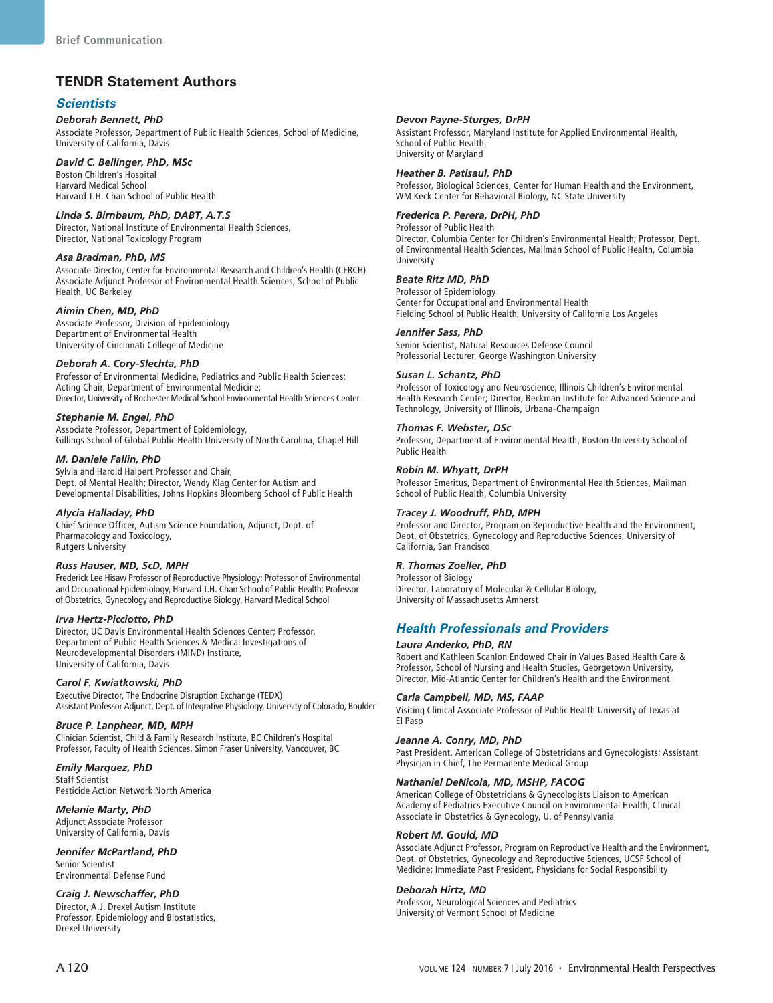# **TENDR Statement Authors**

# *Scientists*

## *Deborah Bennett, PhD*

Associate Professor, Department of Public Health Sciences, School of Medicine, University of California, Davis

#### *David C. Bellinger, PhD, MSc*

Boston Children's Hospital Harvard Medical School Harvard T.H. Chan School of Public Health

## *Linda S. Birnbaum, PhD, DABT, A.T.S*

Director, National Institute of Environmental Health Sciences, Director, National Toxicology Program

## *Asa Bradman, PhD, MS*

Associate Director, Center for Environmental Research and Children's Health (CERCH) Associate Adjunct Professor of Environmental Health Sciences, School of Public Health, UC Berkeley

## *Aimin Chen, MD, PhD*

Associate Professor, Division of Epidemiology Department of Environmental Health University of Cincinnati College of Medicine

## *Deborah A. Cory-Slechta, PhD*

Professor of Environmental Medicine, Pediatrics and Public Health Sciences; Acting Chair, Department of Environmental Medicine; Director, University of Rochester Medical School Environmental Health Sciences Center

## *Stephanie M. Engel, PhD*

Associate Professor, Department of Epidemiology, Gillings School of Global Public Health University of North Carolina, Chapel Hill

## *M. Daniele Fallin, PhD*

Sylvia and Harold Halpert Professor and Chair, Dept. of Mental Health; Director, Wendy Klag Center for Autism and Developmental Disabilities, Johns Hopkins Bloomberg School of Public Health

## *Alycia Halladay, PhD*

Chief Science Officer, Autism Science Foundation, Adjunct, Dept. of Pharmacology and Toxicology, Rutgers University

## *Russ Hauser, MD, ScD, MPH*

Frederick Lee Hisaw Professor of Reproductive Physiology; Professor of Environmental and Occupational Epidemiology, Harvard T.H. Chan School of Public Health; Professor of Obstetrics, Gynecology and Reproductive Biology, Harvard Medical School

## *Irva Hertz-Picciotto, PhD*

Director, UC Davis Environmental Health Sciences Center; Professor, Department of Public Health Sciences & Medical Investigations of Neurodevelopmental Disorders (MIND) Institute, University of California, Davis

## *Carol F. Kwiatkowski, PhD*

Executive Director, The Endocrine Disruption Exchange (TEDX) Assistant Professor Adjunct, Dept. of Integrative Physiology, University of Colorado, Boulder

## *Bruce P. Lanphear, MD, MPH*

Clinician Scientist, Child & Family Research Institute, BC Children's Hospital Professor, Faculty of Health Sciences, Simon Fraser University, Vancouver, BC

*Emily Marquez, PhD* Staff Scientist Pesticide Action Network North America

# *Melanie Marty, PhD*

Adjunct Associate Professor University of California, Davis

## *Jennifer McPartland, PhD*

Senior Scientist Environmental Defense Fund

# *Craig J. Newschaffer, PhD*

Director, A.J. Drexel Autism Institute Professor, Epidemiology and Biostatistics, Drexel University

### *Devon Payne-Sturges, DrPH*

Assistant Professor, Maryland Institute for Applied Environmental Health, School of Public Health, University of Maryland

#### *Heather B. Patisaul, PhD*

Professor, Biological Sciences, Center for Human Health and the Environment, WM Keck Center for Behavioral Biology, NC State University

## *Frederica P. Perera, DrPH, PhD*

Professor of Public Health Director, Columbia Center for Children's Environmental Health; Professor, Dept. of Environmental Health Sciences, Mailman School of Public Health, Columbia University

## *Beate Ritz MD, PhD*

Professor of Epidemiology Center for Occupational and Environmental Health Fielding School of Public Health, University of California Los Angeles

## *Jennifer Sass, PhD*

Senior Scientist, Natural Resources Defense Council Professorial Lecturer, George Washington University

#### *Susan L. Schantz, PhD*

Professor of Toxicology and Neuroscience, Illinois Children's Environmental Health Research Center; Director, Beckman Institute for Advanced Science and Technology, University of Illinois, Urbana-Champaign

## *Thomas F. Webster, DSc*

Professor, Department of Environmental Health, Boston University School of Public Health

## *Robin M. Whyatt, DrPH*

Professor Emeritus, Department of Environmental Health Sciences, Mailman School of Public Health, Columbia University

## *Tracey J. Woodruff, PhD, MPH*

Professor and Director, Program on Reproductive Health and the Environment, Dept. of Obstetrics, Gynecology and Reproductive Sciences, University of California, San Francisco

## *R. Thomas Zoeller, PhD*

Professor of Biology Director, Laboratory of Molecular & Cellular Biology, University of Massachusetts Amherst

# *Health Professionals and Providers*

#### *Laura Anderko, PhD, RN*

Robert and Kathleen Scanlon Endowed Chair in Values Based Health Care & Professor, School of Nursing and Health Studies, Georgetown University, Director, Mid-Atlantic Center for Children's Health and the Environment

## *Carla Campbell, MD, MS, FAAP*

Visiting Clinical Associate Professor of Public Health University of Texas at El Paso

## *Jeanne A. Conry, MD, PhD*

Past President, American College of Obstetricians and Gynecologists; Assistant Physician in Chief, The Permanente Medical Group

## *Nathaniel DeNicola, MD, MSHP, FACOG*

American College of Obstetricians & Gynecologists Liaison to American Academy of Pediatrics Executive Council on Environmental Health; Clinical Associate in Obstetrics & Gynecology, U. of Pennsylvania

## *Robert M. Gould, MD*

Associate Adjunct Professor, Program on Reproductive Health and the Environment, Dept. of Obstetrics, Gynecology and Reproductive Sciences, UCSF School of Medicine; Immediate Past President, Physicians for Social Responsibility

## *Deborah Hirtz, MD*

Professor, Neurological Sciences and Pediatrics University of Vermont School of Medicine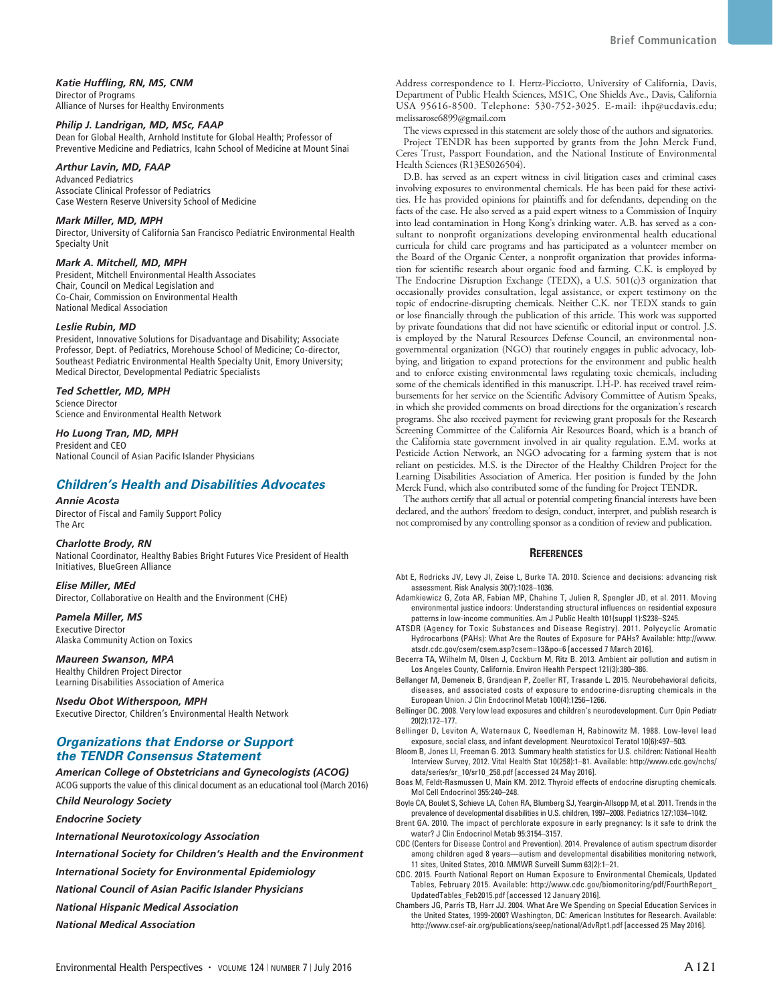#### *Katie Huffling, RN, MS, CNM*

Director of Programs Alliance of Nurses for Healthy Environments

#### *Philip J. Landrigan, MD, MSc, FAAP*

Dean for Global Health, Arnhold Institute for Global Health; Professor of Preventive Medicine and Pediatrics, Icahn School of Medicine at Mount Sinai

#### *Arthur Lavin, MD, FAAP*

Advanced Pediatrics Associate Clinical Professor of Pediatrics Case Western Reserve University School of Medicine

#### *Mark Miller, MD, MPH*

Director, University of California San Francisco Pediatric Environmental Health Specialty Unit

#### *Mark A. Mitchell, MD, MPH*

President, Mitchell Environmental Health Associates Chair, Council on Medical Legislation and Co-Chair, Commission on Environmental Health National Medical Association

#### *Leslie Rubin, MD*

President, Innovative Solutions for Disadvantage and Disability; Associate Professor, Dept. of Pediatrics, Morehouse School of Medicine; Co-director, Southeast Pediatric Environmental Health Specialty Unit, Emory University; Medical Director, Developmental Pediatric Specialists

#### *Ted Schettler, MD, MPH*

Science Director Science and Environmental Health Network

## *Ho Luong Tran, MD, MPH*

President and CEO National Council of Asian Pacific Islander Physicians

## *Children's Health and Disabilities Advocates*

#### *Annie Acosta*

Director of Fiscal and Family Support Policy The Arc

#### *Charlotte Brody, RN*

National Coordinator, Healthy Babies Bright Futures Vice President of Health Initiatives, BlueGreen Alliance

#### *Elise Miller, MEd*

Director, Collaborative on Health and the Environment (CHE)

#### *Pamela Miller, MS*

Executive Director Alaska Community Action on Toxics

#### *Maureen Swanson, MPA*

Healthy Children Project Director Learning Disabilities Association of America

#### *Nsedu Obot Witherspoon, MPH* Executive Director, Children's Environmental Health Network

# *Organizations that Endorse or Support the TENDR Consensus Statement*

*American College of Obstetricians and Gynecologists (ACOG)* ACOG supports the value of this clinical document as an educational tool (March 2016)

*Child Neurology Society*

#### *Endocrine Society*

*International Neurotoxicology Association*

*International Society for Children's Health and the Environment*

*International Society for Environmental Epidemiology* 

*National Council of Asian Pacific Islander Physicians*

*National Hispanic Medical Association*

*National Medical Association*

Address correspondence to I. Hertz-Picciotto, University of California, Davis, Department of Public Health Sciences, MS1C, One Shields Ave., Davis, California USA 95616-8500. Telephone: 530-752-3025. E-mail: ihp@ucdavis.edu; melissarose6899@gmail.com

The views expressed in this statement are solely those of the authors and signatories. Project TENDR has been supported by grants from the John Merck Fund, Ceres Trust, Passport Foundation, and the National Institute of Environmental Health Sciences (R13ES026504).

D.B. has served as an expert witness in civil litigation cases and criminal cases involving exposures to environmental chemicals. He has been paid for these activities. He has provided opinions for plaintiffs and for defendants, depending on the facts of the case. He also served as a paid expert witness to a Commission of Inquiry into lead contamination in Hong Kong's drinking water. A.B. has served as a consultant to nonprofit organizations developing environmental health educational curricula for child care programs and has participated as a volunteer member on the Board of the Organic Center, a nonprofit organization that provides information for scientific research about organic food and farming. C.K. is employed by The Endocrine Disruption Exchange (TEDX), a U.S. 501(c)3 organization that occasionally provides consultation, legal assistance, or expert testimony on the topic of endocrine-disrupting chemicals. Neither C.K. nor TEDX stands to gain or lose financially through the publication of this article. This work was supported by private foundations that did not have scientific or editorial input or control. J.S. is employed by the Natural Resources Defense Council, an environmental nongovernmental organization (NGO) that routinely engages in public advocacy, lobbying, and litigation to expand protections for the environment and public health and to enforce existing environmental laws regulating toxic chemicals, including some of the chemicals identified in this manuscript. I.H-P. has received travel reimbursements for her service on the Scientific Advisory Committee of Autism Speaks, in which she provided comments on broad directions for the organization's research programs. She also received payment for reviewing grant proposals for the Research Screening Committee of the California Air Resources Board, which is a branch of the California state government involved in air quality regulation. E.M. works at Pesticide Action Network, an NGO advocating for a farming system that is not reliant on pesticides. M.S. is the Director of the Healthy Children Project for the Learning Disabilities Association of America. Her position is funded by the John Merck Fund, which also contributed some of the funding for Project TENDR.

The authors certify that all actual or potential competing financial interests have been declared, and the authors' freedom to design, conduct, interpret, and publish research is not compromised by any controlling sponsor as a condition of review and publication.

#### **References**

- Abt E, Rodricks JV, Levy JI, Zeise L, Burke TA. 2010. Science and decisions: advancing risk assessment. Risk Analysis 30(7):1028–1036.
- Adamkiewicz G, Zota AR, Fabian MP, Chahine T, Julien R, Spengler JD, et al. 2011. Moving environmental justice indoors: Understanding structural influences on residential exposure patterns in low-income communities. Am J Public Health 101(suppl 1):S238–S245.
- ATSDR (Agency for Toxic Substances and Disease Registry). 2011. Polycyclic Aromatic Hydrocarbons (PAHs): What Are the Routes of Exposure for PAHs? Available: [http://www.](http://www.atsdr.cdc.gov/csem/csem.asp?csem=13&po=6) [atsdr.cdc.gov/csem/csem.asp?csem=13&po=6](http://www.atsdr.cdc.gov/csem/csem.asp?csem=13&po=6) [accessed 7 March 2016].

Becerra TA, Wilhelm M, Olsen J, Cockburn M, Ritz B. 2013. Ambient air pollution and autism in Los Angeles County, California. Environ Health Perspect 121(3):380–386.

Bellanger M, Demeneix B, Grandjean P, Zoeller RT, Trasande L. 2015. Neurobehavioral deficits, diseases, and associated costs of exposure to endocrine-disrupting chemicals in the European Union. J Clin Endocrinol Metab 100(4):1256–1266.

Bellinger DC. 2008. Very low lead exposures and children's neurodevelopment. Curr Opin Pediatr 20(2):172–177.

- Bellinger D, Leviton A, Waternaux C, Needleman H, Rabinowitz M. 1988. Low-level lead exposure, social class, and infant development. Neurotoxicol Teratol 10(6):497–503.
- Bloom B, Jones LI, Freeman G. 2013. Summary health statistics for U.S. children: National Health Interview Survey, 2012. Vital Health Stat 10(258):1–81. Available: [http://www.cdc.gov/nchs/](http://www.cdc.gov/nchs/data/series/sr_10/sr10_258.pdf) [data/series/sr\\_10/sr10\\_258.pdf](http://www.cdc.gov/nchs/data/series/sr_10/sr10_258.pdf) [accessed 24 May 2016].
- Boas M, Feldt-Rasmussen U, Main KM. 2012. Thyroid effects of endocrine disrupting chemicals. Mol Cell Endocrinol 355:240–248.
- Boyle CA, Boulet S, Schieve LA, Cohen RA, Blumberg SJ, Yeargin-Allsopp M, et al. 2011. Trends in the prevalence of developmental disabilities in U.S. children, 1997–2008. Pediatrics 127:1034–1042.
- Brent GA. 2010. The impact of perchlorate exposure in early pregnancy: Is it safe to drink the water? J Clin Endocrinol Metab 95:3154–3157.
- CDC (Centers for Disease Control and Prevention). 2014. Prevalence of autism spectrum disorder among children aged 8 years—autism and developmental disabilities monitoring network, 11 sites, United States, 2010. MMWR Surveill Summ 63(2):1–21.
- CDC. 2015. Fourth National Report on Human Exposure to Environmental Chemicals, Updated Tables, February 2015. Available: [http://www.cdc.gov/biomonitoring/pdf/FourthReport\\_](http://www.cdc.gov/biomonitoring/pdf/FourthReport_UpdatedTables_Feb2015.pdf) [UpdatedTables\\_Feb2015.pdf](http://www.cdc.gov/biomonitoring/pdf/FourthReport_UpdatedTables_Feb2015.pdf) [accessed 12 January 2016].
- Chambers JG, Parris TB, Harr JJ. 2004. What Are We Spending on Special Education Services in the United States, 1999-2000? Washington, DC: American Institutes for Research. Available: <http://www.csef-air.org/publications/seep/national/AdvRpt1.pdf> [accessed 25 May 2016].